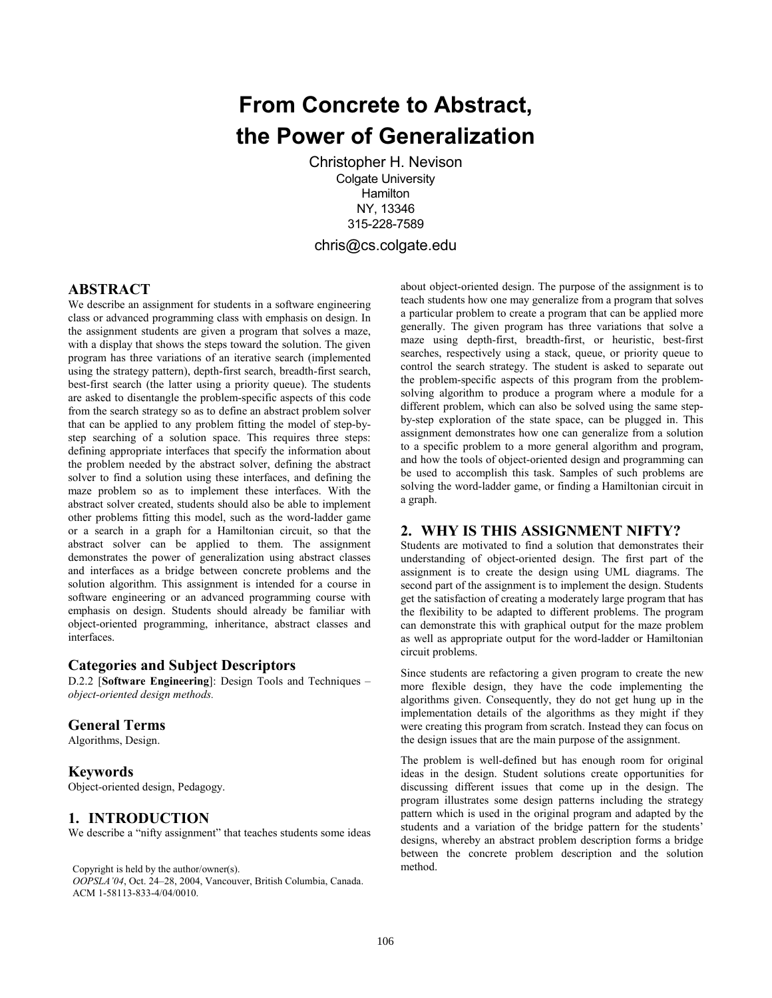# From Concrete to Abstract, the Power of Generalization

Christopher H. Nevison **Colgate University** Hamilton NY, 13346 315-228-7589

## chris@cs.colgate.edu

#### **ABSTRACT**

We describe an assignment for students in a software engineering class or advanced programming class with emphasis on design. In the assignment students are given a program that solves a maze, with a display that shows the steps toward the solution. The given program has three variations of an iterative search (implemented using the strategy pattern), depth-first search, breadth-first search, best-first search (the latter using a priority queue). The students are asked to disentangle the problem-specific aspects of this code from the search strategy so as to define an abstract problem solver that can be applied to any problem fitting the model of step-bystep searching of a solution space. This requires three steps: defining appropriate interfaces that specify the information about the problem needed by the abstract solver, defining the abstract solver to find a solution using these interfaces, and defining the maze problem so as to implement these interfaces. With the abstract solver created, students should also be able to implement other problems fitting this model, such as the word-ladder game or a search in a graph for a Hamiltonian circuit, so that the abstract solver can be applied to them. The assignment demonstrates the power of generalization using abstract classes and interfaces as a bridge between concrete problems and the solution algorithm. This assignment is intended for a course in software engineering or an advanced programming course with emphasis on design. Students should already be familiar with object-oriented programming, inheritance, abstract classes and interfaces.

#### **Categories and Subject Descriptors**

D.2.2 [**Software Engineering**]: Design Tools and Techniques – *object-oriented design methods.* 

#### **General Terms**

Algorithms, Design.

#### **Keywords**

Object-oriented design, Pedagogy.

#### **1. INTRODUCTION**

We describe a "nifty assignment" that teaches students some ideas

Copyright is held by the author/owner(s). method.

*OOPSLA'04*, Oct. 24–28, 2004, Vancouver, British Columbia, Canada. ACM 1-58113-833-4/04/0010.

about object-oriented design. The purpose of the assignment is to teach students how one may generalize from a program that solves a particular problem to create a program that can be applied more generally. The given program has three variations that solve a maze using depth-first, breadth-first, or heuristic, best-first searches, respectively using a stack, queue, or priority queue to control the search strategy. The student is asked to separate out the problem-specific aspects of this program from the problemsolving algorithm to produce a program where a module for a different problem, which can also be solved using the same stepby-step exploration of the state space, can be plugged in. This assignment demonstrates how one can generalize from a solution to a specific problem to a more general algorithm and program, and how the tools of object-oriented design and programming can be used to accomplish this task. Samples of such problems are solving the word-ladder game, or finding a Hamiltonian circuit in a graph.

### **2. WHY IS THIS ASSIGNMENT NIFTY?**

Students are motivated to find a solution that demonstrates their understanding of object-oriented design. The first part of the assignment is to create the design using UML diagrams. The second part of the assignment is to implement the design. Students get the satisfaction of creating a moderately large program that has the flexibility to be adapted to different problems. The program can demonstrate this with graphical output for the maze problem as well as appropriate output for the word-ladder or Hamiltonian circuit problems.

Since students are refactoring a given program to create the new more flexible design, they have the code implementing the algorithms given. Consequently, they do not get hung up in the implementation details of the algorithms as they might if they were creating this program from scratch. Instead they can focus on the design issues that are the main purpose of the assignment.

The problem is well-defined but has enough room for original ideas in the design. Student solutions create opportunities for discussing different issues that come up in the design. The program illustrates some design patterns including the strategy pattern which is used in the original program and adapted by the students and a variation of the bridge pattern for the students' designs, whereby an abstract problem description forms a bridge between the concrete problem description and the solution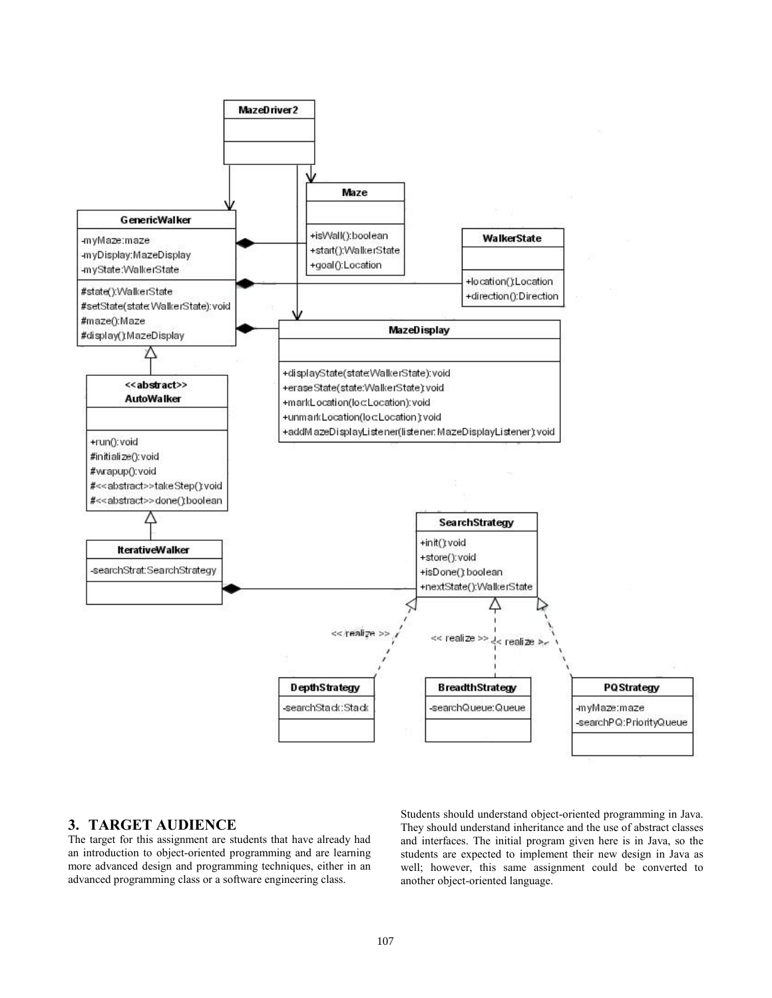

## **3. TARGET AUDIENCE**

The target for this assignment are students that have already had an introduction to object-oriented programming and are learning more advanced design and programming techniques, either in an advanced programming class or a software engineering class.

Students should understand object-oriented programming in Java. They should understand inheritance and the use of abstract classes and interfaces. The initial program given here is in Java, so the students are expected to implement their new design in Java as well; however, this same assignment could be converted to another object-oriented language.